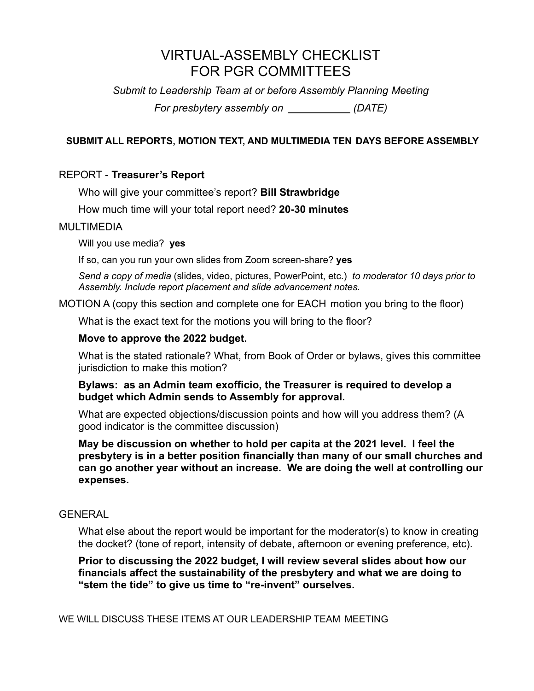# VIRTUAL-ASSEMBLY CHECKLIST FOR PGR COMMITTEES

*Submit to Leadership Team at or before Assembly Planning Meeting*

*For presbytery assembly on (DATE)*

# **SUBMIT ALL REPORTS, MOTION TEXT, AND MULTIMEDIA TEN DAYS BEFORE ASSEMBLY**

# REPORT - **Treasurer's Report**

Who will give your committee's report? **Bill Strawbridge**

How much time will your total report need? **20-30 minutes**

## MULTIMEDIA

Will you use media? **yes**

If so, can you run your own slides from Zoom screen-share? **yes**

*Send a copy of media* (slides, video, pictures, PowerPoint, etc.) *to moderator 10 days prior to Assembly. Include report placement and slide advancement notes.*

MOTION A (copy this section and complete one for EACH motion you bring to the floor)

What is the exact text for the motions you will bring to the floor?

## **Move to approve the 2022 budget.**

What is the stated rationale? What, from Book of Order or bylaws, gives this committee jurisdiction to make this motion?

#### **Bylaws: as an Admin team exofficio, the Treasurer is required to develop a budget which Admin sends to Assembly for approval.**

What are expected objections/discussion points and how will you address them? (A good indicator is the committee discussion)

**May be discussion on whether to hold per capita at the 2021 level. I feel the presbytery is in a better position financially than many of our small churches and can go another year without an increase. We are doing the well at controlling our expenses.**

## GENERAL

What else about the report would be important for the moderator(s) to know in creating the docket? (tone of report, intensity of debate, afternoon or evening preference, etc).

**Prior to discussing the 2022 budget, I will review several slides about how our financials affect the sustainability of the presbytery and what we are doing to "stem the tide" to give us time to "re-invent" ourselves.**

WE WILL DISCUSS THESE ITEMS AT OUR LEADERSHIP TEAM MEETING